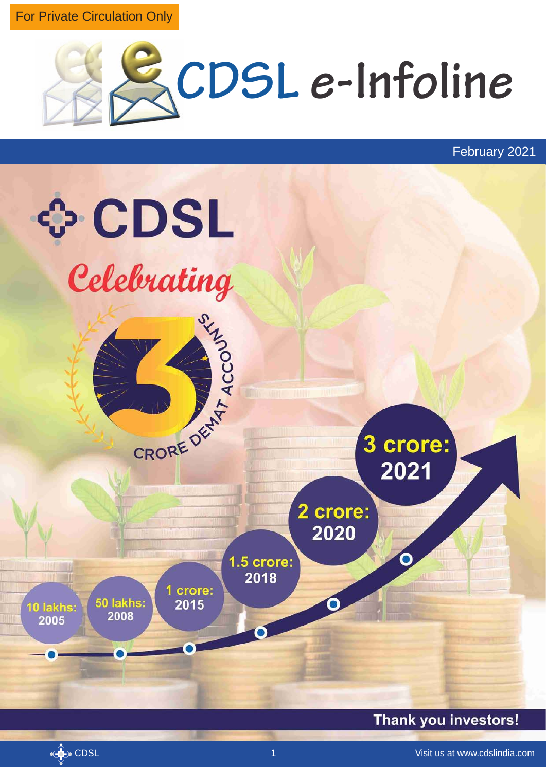For Private Circulation Only



February 2021

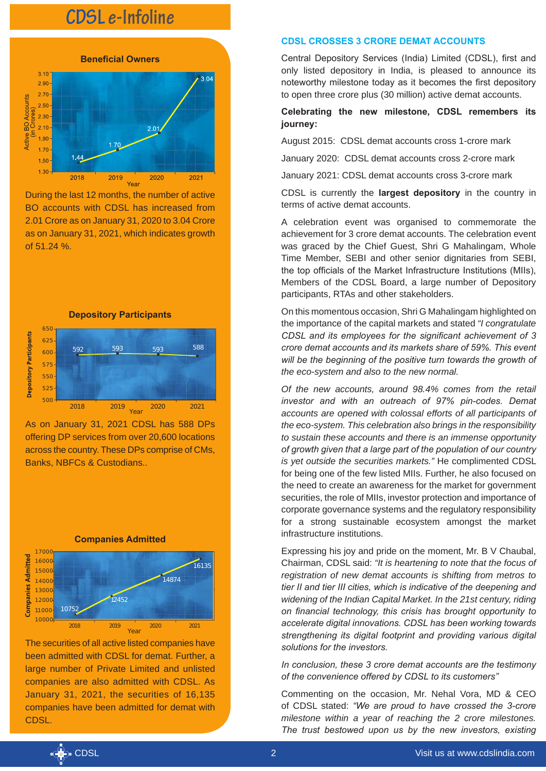

During the last 12 months, the number of active BO accounts with CDSL has increased from 2.01 Crore as on January 31, 2020 to 3.04 Crore as on January 31, 2021, which indicates growth of 51.24 %.



As on January 31, 2021 CDSL has 588 DPs offering DP services from over 20,600 locations across the country. These DPs comprise of CMs, Banks, NBFCs & Custodians..



The securities of all active listed companies have been admitted with CDSL for demat. Further, a large number of Private Limited and unlisted companies are also admitted with CDSL. As January 31, 2021, the securities of 16,135 companies have been admitted for demat with CDSL.

#### **CDSL CROSSES 3 CRORE DEMAT ACCOUNTS**

Central Depository Services (India) Limited (CDSL), first and only listed depository in India, is pleased to announce its noteworthy milestone today as it becomes the first depository to open three crore plus (30 million) active demat accounts.

### **Celebrating the new milestone, CDSL remembers its journey:**

August 2015: CDSL demat accounts cross 1-crore mark

January 2020: CDSL demat accounts cross 2-crore mark

January 2021: CDSL demat accounts cross 3-crore mark

CDSL is currently the **largest depository** in the country in terms of active demat accounts.

A celebration event was organised to commemorate the achievement for 3 crore demat accounts. The celebration event was graced by the Chief Guest, Shri G Mahalingam, Whole Time Member, SEBI and other senior dignitaries from SEBI, the top officials of the Market Infrastructure Institutions (MIIs), Members of the CDSL Board, a large number of Depository participants, RTAs and other stakeholders.

On this momentous occasion, Shri G Mahalingam highlighted on the importance of the capital markets and stated *"I congratulate CDSL and its employees for the significant achievement of 3 crore demat accounts and its markets share of 59%. This event will be the beginning of the positive turn towards the growth of the eco-system and also to the new normal.* 

*Of the new accounts, around 98.4% comes from the retail investor and with an outreach of 97% pin-codes. Demat accounts are opened with colossal efforts of all participants of the eco-system. This celebration also brings in the responsibility to sustain these accounts and there is an immense opportunity of growth given that a large part of the population of our country is yet outside the securities markets."* He complimented CDSL for being one of the few listed MIIs. Further, he also focused on the need to create an awareness for the market for government securities, the role of MIIs, investor protection and importance of corporate governance systems and the regulatory responsibility for a strong sustainable ecosystem amongst the market infrastructure institutions.

Expressing his joy and pride on the moment, Mr. B V Chaubal, Chairman, CDSL said: *"It is heartening to note that the focus of registration of new demat accounts is shifting from metros to tier II and tier III cities, which is indicative of the deepening and widening of the Indian Capital Market. In the 21st century, riding on financial technology, this crisis has brought opportunity to accelerate digital innovations. CDSL has been working towards strengthening its digital footprint and providing various digital solutions for the investors.* 

*In conclusion, these 3 crore demat accounts are the testimony of the convenience offered by CDSL to its customers"* 

Commenting on the occasion, Mr. Nehal Vora, MD & CEO of CDSL stated: *"We are proud to have crossed the 3-crore milestone within a year of reaching the 2 crore milestones. The trust bestowed upon us by the new investors, existing* 

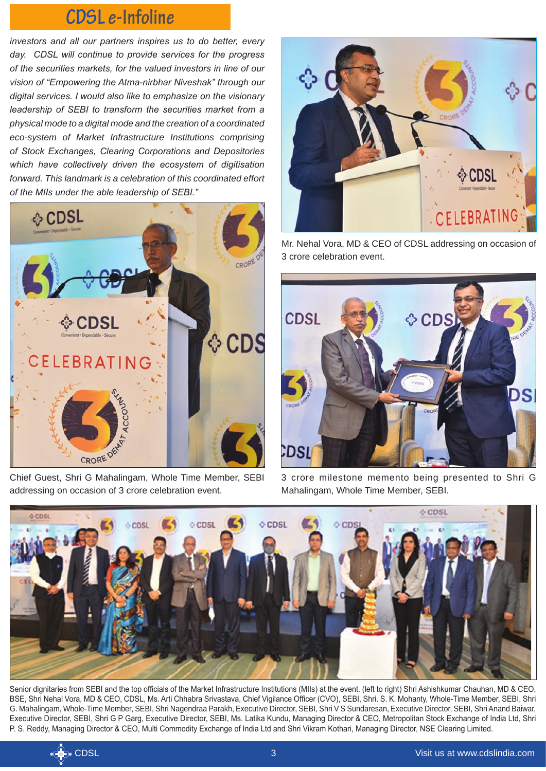*investors and all our partners inspires us to do better, every day. CDSL will continue to provide services for the progress of the securities markets, for the valued investors in line of our vision of "Empowering the Atma-nirbhar Niveshak" through our digital services. I would also like to emphasize on the visionary leadership of SEBI to transform the securities market from a physical mode to a digital mode and the creation of a coordinated eco-system of Market Infrastructure Institutions comprising of Stock Exchanges, Clearing Corporations and Depositories which have collectively driven the ecosystem of digitisation forward. This landmark is a celebration of this coordinated effort of the MIIs under the able leadership of SEBI."*



addressing on occasion of 3 crore celebration event.



Mr. Nehal Vora, MD & CEO of CDSL addressing on occasion of 3 crore celebration event.



3 crore milestone memento being presented to Shri G Mahalingam, Whole Time Member, SEBI.



Senior dignitaries from SEBI and the top officials of the Market Infrastructure Institutions (MIIs) at the event. (left to right) Shri Ashishkumar Chauhan, MD & CEO, BSE, Shri Nehal Vora, MD & CEO, CDSL, Ms. Arti Chhabra Srivastava, Chief Vigilance Officer (CVO), SEBI, Shri. S. K. Mohanty, Whole-Time Member, SEBI, Shri G. Mahalingam, Whole-Time Member, SEBI, Shri Nagendraa Parakh, Executive Director, SEBI, Shri V S Sundaresan, Executive Director, SEBI, Shri Anand Baiwar, Executive Director, SEBI, Shri G P Garg, Executive Director, SEBI, Ms. Latika Kundu, Managing Director & CEO, Metropolitan Stock Exchange of India Ltd, Shri P. S. Reddy, Managing Director & CEO, Multi Commodity Exchange of India Ltd and Shri Vikram Kothari, Managing Director, NSE Clearing Limited.

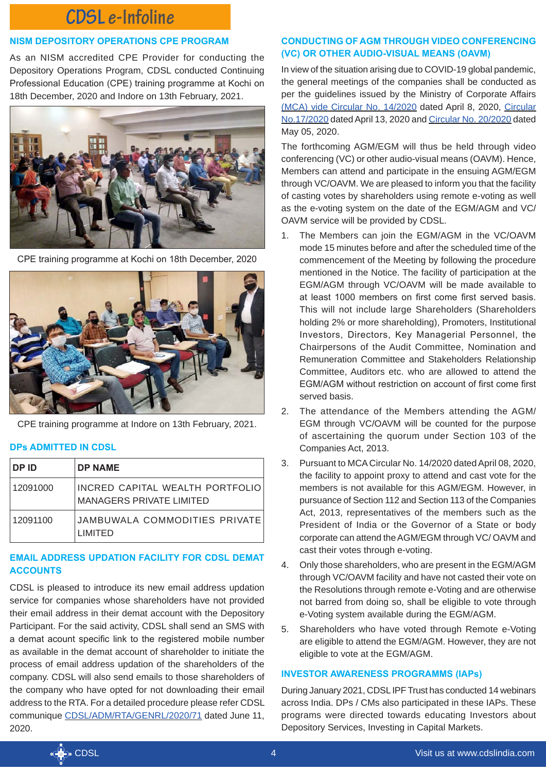### **NISM DEPOSITORY OPERATIONS CPE PROGRAM**

As an NISM accredited CPE Provider for conducting the Depository Operations Program, CDSL conducted Continuing Professional Education (CPE) training programme at Kochi on 18th December, 2020 and Indore on 13th February, 2021.



CPE training programme at Kochi on 18th December, 2020



CPE training programme at Indore on 13th February, 2021.

## **DPs ADMITTED IN CDSL**

| ∣ DP ID  | <b>DP NAME</b>                                              |
|----------|-------------------------------------------------------------|
| 12091000 | INCRED CAPITAL WEALTH PORTFOLIO<br>MANAGERS PRIVATE LIMITED |
| 12091100 | JAMBUWALA COMMODITIES PRIVATE<br><b>I IMITED</b>            |

# **EMAIL ADDRESS UPDATION FACILITY FOR CDSL DEMAT ACCOUNTS**

CDSL is pleased to introduce its new email address updation service for companies whose shareholders have not provided their email address in their demat account with the Depository Participant. For the said activity, CDSL shall send an SMS with a demat acount specific link to the registered mobile number as available in the demat account of shareholder to initiate the process of email address updation of the shareholders of the company. CDSL will also send emails to those shareholders of the company who have opted for not downloading their email address to the RTA. For a detailed procedure please refer CDSL communique [CDSL/ADM/RTA/GENRL/2020/71](https://www.cdslindia.com/Publications/Communique.aspx) dated June 11, 2020.

# **CONDUCTING OF AGM THROUGH VIDEO CONFERENCING (VC) OR OTHER AUDIO-VISUAL MEANS (OAVM)**

In view of the situation arising due to COVID-19 global pandemic, the general meetings of the companies shall be conducted as per the guidelines issued by the Ministry of Corporate Affairs [\(MCA\) vide Circular No. 14/2020](http://www.mca.gov.in/Ministry/pdf/Circular14_08042020.pdf) dated April 8, 2020, [Circular](http://www.mca.gov.in/Ministry/pdf/Circular17_13042020.pdf)  [No.17/2020](http://www.mca.gov.in/Ministry/pdf/Circular17_13042020.pdf) dated April 13, 2020 and [Circular No. 20/2020](http://www.mca.gov.in/Ministry/pdf/Circular20_05052020.pdf) dated May 05, 2020.

The forthcoming AGM/EGM will thus be held through video conferencing (VC) or other audio-visual means (OAVM). Hence, Members can attend and participate in the ensuing AGM/EGM through VC/OAVM. We are pleased to inform you that the facility of casting votes by shareholders using remote e-voting as well as the e-voting system on the date of the EGM/AGM and VC/ OAVM service will be provided by CDSL.

- 1. The Members can join the EGM/AGM in the VC/OAVM mode 15 minutes before and after the scheduled time of the commencement of the Meeting by following the procedure mentioned in the Notice. The facility of participation at the EGM/AGM through VC/OAVM will be made available to at least 1000 members on first come first served basis. This will not include large Shareholders (Shareholders holding 2% or more shareholding), Promoters, Institutional Investors, Directors, Key Managerial Personnel, the Chairpersons of the Audit Committee, Nomination and Remuneration Committee and Stakeholders Relationship Committee, Auditors etc. who are allowed to attend the EGM/AGM without restriction on account of first come first served basis.
- 2. The attendance of the Members attending the AGM/ EGM through VC/OAVM will be counted for the purpose of ascertaining the quorum under Section 103 of the Companies Act, 2013.
- 3. Pursuant to MCA Circular No. 14/2020 dated April 08, 2020, the facility to appoint proxy to attend and cast vote for the members is not available for this AGM/EGM. However, in pursuance of Section 112 and Section 113 of the Companies Act, 2013, representatives of the members such as the President of India or the Governor of a State or body corporate can attend the AGM/EGM through VC/ OAVM and cast their votes through e-voting.
- 4. Only those shareholders, who are present in the EGM/AGM through VC/OAVM facility and have not casted their vote on the Resolutions through remote e-Voting and are otherwise not barred from doing so, shall be eligible to vote through e-Voting system available during the EGM/AGM.
- 5. Shareholders who have voted through Remote e-Voting are eligible to attend the EGM/AGM. However, they are not eligible to vote at the EGM/AGM.

# **INVESTOR AWARENESS PROGRAMMS (IAPs)**

During January 2021, CDSL IPF Trust has conducted 14 webinars across India. DPs / CMs also participated in these IAPs. These programs were directed towards educating Investors about Depository Services, Investing in Capital Markets.

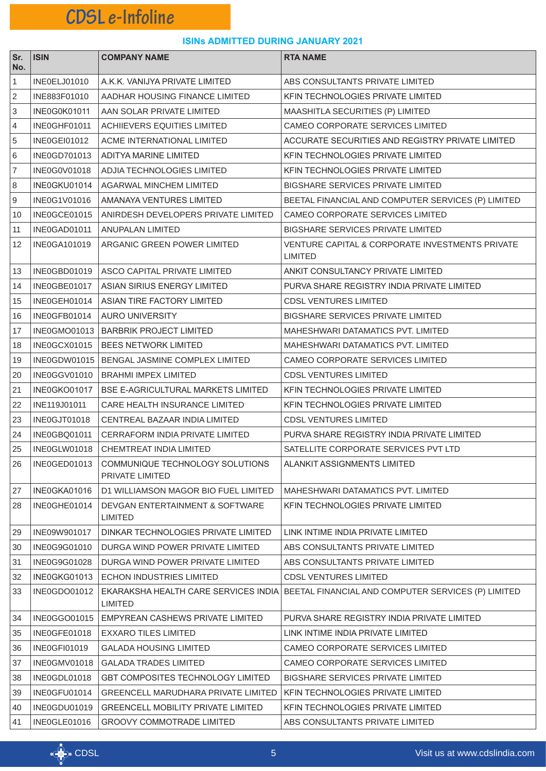| Sr.<br>No. | <b>ISIN</b>         | <b>COMPANY NAME</b>                                | <b>RTA NAME</b>                                                                         |
|------------|---------------------|----------------------------------------------------|-----------------------------------------------------------------------------------------|
| 1          | INE0ELJ01010        | A.K.K. VANIJYA PRIVATE LIMITED                     | ABS CONSULTANTS PRIVATE LIMITED                                                         |
| 2          | INE883F01010        | AADHAR HOUSING FINANCE LIMITED                     | KFIN TECHNOLOGIES PRIVATE LIMITED                                                       |
| 3          | <b>INE0G0K01011</b> | AAN SOLAR PRIVATE LIMITED                          | MAASHITLA SECURITIES (P) LIMITED                                                        |
| 4          | INE0GHF01011        | <b>ACHIIEVERS EQUITIES LIMITED</b>                 | CAMEO CORPORATE SERVICES LIMITED                                                        |
| 5          | INE0GEI01012        | ACME INTERNATIONAL LIMITED                         | ACCURATE SECURITIES AND REGISTRY PRIVATE LIMITED                                        |
| 6          | INE0GD701013        | ADITYA MARINE LIMITED                              | KFIN TECHNOLOGIES PRIVATE LIMITED                                                       |
| 7          | INE0G0V01018        | ADJIA TECHNOLOGIES LIMITED                         | KFIN TECHNOLOGIES PRIVATE LIMITED                                                       |
| 8          | INE0GKU01014        | <b>AGARWAL MINCHEM LIMITED</b>                     | <b>BIGSHARE SERVICES PRIVATE LIMITED</b>                                                |
| 9          | INE0G1V01016        | AMANAYA VENTURES LIMITED                           | BEETAL FINANCIAL AND COMPUTER SERVICES (P) LIMITED                                      |
| 10         | INE0GCE01015        | ANIRDESH DEVELOPERS PRIVATE LIMITED                | CAMEO CORPORATE SERVICES LIMITED                                                        |
| 11         | INE0GAD01011        | ANUPALAN LIMITED                                   | BIGSHARE SERVICES PRIVATE LIMITED                                                       |
| 12         | <b>INE0GA101019</b> | ARGANIC GREEN POWER LIMITED                        | <b>VENTURE CAPITAL &amp; CORPORATE INVESTMENTS PRIVATE</b><br>LIMITED                   |
| 13         | INE0GBD01019        | ASCO CAPITAL PRIVATE LIMITED                       | ANKIT CONSULTANCY PRIVATE LIMITED                                                       |
| 14         | INE0GBE01017        | ASIAN SIRIUS ENERGY LIMITED                        | PURVA SHARE REGISTRY INDIA PRIVATE LIMITED                                              |
| 15         | INE0GEH01014        | ASIAN TIRE FACTORY LIMITED                         | CDSL VENTURES LIMITED                                                                   |
| 16         | INE0GFB01014        | <b>AURO UNIVERSITY</b>                             | <b>BIGSHARE SERVICES PRIVATE LIMITED</b>                                                |
| 17         |                     | INE0GMO01013   BARBRIK PROJECT LIMITED             | MAHESHWARI DATAMATICS PVT. LIMITED                                                      |
| 18         | INE0GCX01015        | <b>BEES NETWORK LIMITED</b>                        | MAHESHWARI DATAMATICS PVT. LIMITED                                                      |
| 19         | INE0GDW01015        | BENGAL JASMINE COMPLEX LIMITED                     | CAMEO CORPORATE SERVICES LIMITED                                                        |
| 20         | INE0GGV01010        | <b>BRAHMI IMPEX LIMITED</b>                        | <b>CDSL VENTURES LIMITED</b>                                                            |
| 21         | INE0GKO01017        | BSE E-AGRICULTURAL MARKETS LIMITED                 | KFIN TECHNOLOGIES PRIVATE LIMITED                                                       |
| 22         | INE119J01011        | CARE HEALTH INSURANCE LIMITED                      | KFIN TECHNOLOGIES PRIVATE LIMITED                                                       |
| 23         | INE0GJT01018        | CENTREAL BAZAAR INDIA LIMITED                      | <b>CDSL VENTURES LIMITED</b>                                                            |
| 24         | INE0GBQ01011        | CERRAFORM INDIA PRIVATE LIMITED                    | PURVA SHARE REGISTRY INDIA PRIVATE LIMITED                                              |
| 25         | INE0GLW01018        | CHEMTREAT INDIA LIMITED                            | SATELLITE CORPORATE SERVICES PVT LTD                                                    |
| 26         | INE0GED01013        | COMMUNIQUE TECHNOLOGY SOLUTIONS<br>PRIVATE LIMITED | <b>ALANKIT ASSIGNMENTS LIMITED</b>                                                      |
| 27         | INE0GKA01016        | D1 WILLIAMSON MAGOR BIO FUEL LIMITED               | MAHESHWARI DATAMATICS PVT. LIMITED                                                      |
| 28         | INE0GHE01014        | DEVGAN ENTERTAINMENT & SOFTWARE<br><b>LIMITED</b>  | KFIN TECHNOLOGIES PRIVATE LIMITED                                                       |
| 29         | INE09W901017        | DINKAR TECHNOLOGIES PRIVATE LIMITED                | LINK INTIME INDIA PRIVATE LIMITED                                                       |
| 30         | INE0G9G01010        | DURGA WIND POWER PRIVATE LIMITED                   | ABS CONSULTANTS PRIVATE LIMITED                                                         |
| 31         | INE0G9G01028        | DURGA WIND POWER PRIVATE LIMITED                   | ABS CONSULTANTS PRIVATE LIMITED                                                         |
| 32         | INE0GKG01013        | <b>ECHON INDUSTRIES LIMITED</b>                    | <b>CDSL VENTURES LIMITED</b>                                                            |
| 33         | INE0GDO01012        | <b>LIMITED</b>                                     | EKARAKSHA HEALTH CARE SERVICES INDIA BEETAL FINANCIAL AND COMPUTER SERVICES (P) LIMITED |
| 34         | INE0GGO01015        | EMPYREAN CASHEWS PRIVATE LIMITED                   | PURVA SHARE REGISTRY INDIA PRIVATE LIMITED                                              |
| 35         | INE0GFE01018        | <b>EXXARO TILES LIMITED</b>                        | LINK INTIME INDIA PRIVATE LIMITED                                                       |
| 36         | INE0GFI01019        | <b>GALADA HOUSING LIMITED</b>                      | CAMEO CORPORATE SERVICES LIMITED                                                        |
| 37         | INE0GMV01018        | <b>GALADA TRADES LIMITED</b>                       | <b>CAMEO CORPORATE SERVICES LIMITED</b>                                                 |
| 38         | INE0GDL01018        | <b>GBT COMPOSITES TECHNOLOGY LIMITED</b>           | <b>BIGSHARE SERVICES PRIVATE LIMITED</b>                                                |
| 39         | INE0GFU01014        | <b>GREENCELL MARUDHARA PRIVATE LIMITED</b>         | KFIN TECHNOLOGIES PRIVATE LIMITED                                                       |
| 40         | INE0GDU01019        | <b>GREENCELL MOBILITY PRIVATE LIMITED</b>          | KFIN TECHNOLOGIES PRIVATE LIMITED                                                       |
| 41         | INE0GLE01016        | <b>GROOVY COMMOTRADE LIMITED</b>                   | ABS CONSULTANTS PRIVATE LIMITED                                                         |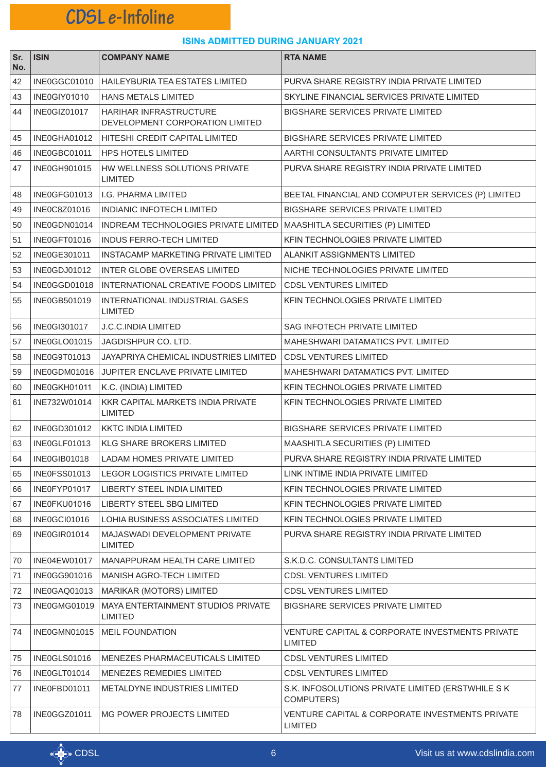| Sr.<br>No. | <b>ISIN</b>  | <b>COMPANY NAME</b>                                       | <b>RTA NAME</b>                                                        |
|------------|--------------|-----------------------------------------------------------|------------------------------------------------------------------------|
| 42         | INE0GGC01010 | <b>HAILEYBURIA TEA ESTATES LIMITED</b>                    | PURVA SHARE REGISTRY INDIA PRIVATE LIMITED                             |
| 43         | INE0GIY01010 | <b>HANS METALS LIMITED</b>                                | SKYLINE FINANCIAL SERVICES PRIVATE LIMITED                             |
| 44         | INE0GIZ01017 | HARIHAR INFRASTRUCTURE<br>DEVELOPMENT CORPORATION LIMITED | <b>BIGSHARE SERVICES PRIVATE LIMITED</b>                               |
| 45         | INE0GHA01012 | HITESHI CREDIT CAPITAL LIMITED                            | <b>BIGSHARE SERVICES PRIVATE LIMITED</b>                               |
| 46         | INE0GBC01011 | HPS HOTELS LIMITED                                        | AARTHI CONSULTANTS PRIVATE LIMITED                                     |
| 47         | INE0GH901015 | HW WELLNESS SOLUTIONS PRIVATE<br>LIMITED                  | PURVA SHARE REGISTRY INDIA PRIVATE LIMITED                             |
| 48         | INE0GFG01013 | I.G. PHARMA LIMITED                                       | BEETAL FINANCIAL AND COMPUTER SERVICES (P) LIMITED                     |
| 49         | INE0C8Z01016 | <b>INDIANIC INFOTECH LIMITED</b>                          | <b>BIGSHARE SERVICES PRIVATE LIMITED</b>                               |
| 50         | INE0GDN01014 | INDREAM TECHNOLOGIES PRIVATE LIMITED                      | MAASHITLA SECURITIES (P) LIMITED                                       |
| 51         | INE0GFT01016 | <b>INDUS FERRO-TECH LIMITED</b>                           | KFIN TECHNOLOGIES PRIVATE LIMITED                                      |
| 52         | INE0GE301011 | INSTACAMP MARKETING PRIVATE LIMITED                       | ALANKIT ASSIGNMENTS LIMITED                                            |
| 53         | INE0GDJ01012 | <b>INTER GLOBE OVERSEAS LIMITED</b>                       | NICHE TECHNOLOGIES PRIVATE LIMITED                                     |
| 54         | INE0GGD01018 | INTERNATIONAL CREATIVE FOODS LIMITED                      | <b>CDSL VENTURES LIMITED</b>                                           |
| 55         | INE0GB501019 | INTERNATIONAL INDUSTRIAL GASES<br>LIMITED                 | KFIN TECHNOLOGIES PRIVATE LIMITED                                      |
| 56         | INE0GI301017 | J.C.C.INDIA LIMITED                                       | <b>SAG INFOTECH PRIVATE LIMITED</b>                                    |
| 57         | INE0GLO01015 | JAGDISHPUR CO. LTD.                                       | MAHESHWARI DATAMATICS PVT. LIMITED                                     |
| 58         | INE0G9T01013 | JAYAPRIYA CHEMICAL INDUSTRIES LIMITED                     | <b>CDSL VENTURES LIMITED</b>                                           |
| 59         | INE0GDM01016 | <b>JUPITER ENCLAVE PRIVATE LIMITED</b>                    | MAHESHWARI DATAMATICS PVT. LIMITED                                     |
| 60         | INE0GKH01011 | K.C. (INDIA) LIMITED                                      | KFIN TECHNOLOGIES PRIVATE LIMITED                                      |
| 61         | INE732W01014 | KKR CAPITAL MARKETS INDIA PRIVATE<br><b>LIMITED</b>       | KFIN TECHNOLOGIES PRIVATE LIMITED                                      |
| 62         | INE0GD301012 | <b>KKTC INDIA LIMITED</b>                                 | <b>BIGSHARE SERVICES PRIVATE LIMITED</b>                               |
| 63         | INE0GLF01013 | <b>KLG SHARE BROKERS LIMITED</b>                          | MAASHITLA SECURITIES (P) LIMITED                                       |
| 64         | INE0GIB01018 | LADAM HOMES PRIVATE LIMITED                               | PURVA SHARE REGISTRY INDIA PRIVATE LIMITED                             |
| 65         | INE0FSS01013 | <b>LEGOR LOGISTICS PRIVATE LIMITED</b>                    | LINK INTIME INDIA PRIVATE LIMITED                                      |
| 66         | INE0FYP01017 | LIBERTY STEEL INDIA LIMITED                               | KFIN TECHNOLOGIES PRIVATE LIMITED                                      |
| 67         | INE0FKU01016 | <b>LIBERTY STEEL SBQ LIMITED</b>                          | KFIN TECHNOLOGIES PRIVATE LIMITED                                      |
| 68         | INE0GCI01016 | LOHIA BUSINESS ASSOCIATES LIMITED                         | KFIN TECHNOLOGIES PRIVATE LIMITED                                      |
| 69         | INE0GIR01014 | <b>MAJASWADI DEVELOPMENT PRIVATE</b><br><b>LIMITED</b>    | PURVA SHARE REGISTRY INDIA PRIVATE LIMITED                             |
| 70         | INE04EW01017 | MANAPPURAM HEALTH CARE LIMITED                            | S.K.D.C. CONSULTANTS LIMITED                                           |
| 71         | INE0GG901016 | <b>MANISH AGRO-TECH LIMITED</b>                           | <b>CDSL VENTURES LIMITED</b>                                           |
| 72         | INE0GAQ01013 | MARIKAR (MOTORS) LIMITED                                  | <b>CDSL VENTURES LIMITED</b>                                           |
| 73         | INE0GMG01019 | MAYA ENTERTAINMENT STUDIOS PRIVATE<br><b>LIMITED</b>      | <b>BIGSHARE SERVICES PRIVATE LIMITED</b>                               |
| 74         | INE0GMN01015 | <b>MEIL FOUNDATION</b>                                    | VENTURE CAPITAL & CORPORATE INVESTMENTS PRIVATE<br><b>LIMITED</b>      |
| 75         | INE0GLS01016 | <b>MENEZES PHARMACEUTICALS LIMITED</b>                    | <b>CDSL VENTURES LIMITED</b>                                           |
| 76         | INE0GLT01014 | <b>MENEZES REMEDIES LIMITED</b>                           | <b>CDSL VENTURES LIMITED</b>                                           |
| 77         | INE0FBD01011 | <b>METALDYNE INDUSTRIES LIMITED</b>                       | S.K. INFOSOLUTIONS PRIVATE LIMITED (ERSTWHILE S K<br><b>COMPUTERS)</b> |
| 78         | INE0GGZ01011 | MG POWER PROJECTS LIMITED                                 | VENTURE CAPITAL & CORPORATE INVESTMENTS PRIVATE<br><b>LIMITED</b>      |

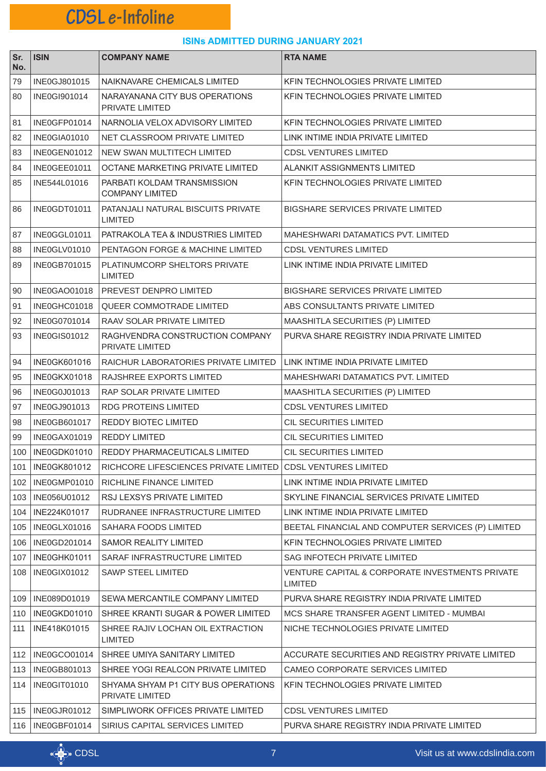| Sr.<br>No. | <b>ISIN</b>         | <b>COMPANY NAME</b>                                    | <b>RTA NAME</b>                                                              |
|------------|---------------------|--------------------------------------------------------|------------------------------------------------------------------------------|
| 79         | INE0GJ801015        | NAIKNAVARE CHEMICALS LIMITED                           | KFIN TECHNOLOGIES PRIVATE LIMITED                                            |
| 80         | INE0GI901014        | NARAYANANA CITY BUS OPERATIONS<br>PRIVATE LIMITED      | KFIN TECHNOLOGIES PRIVATE LIMITED                                            |
| 81         | INE0GFP01014        | NARNOLIA VELOX ADVISORY LIMITED                        | KFIN TECHNOLOGIES PRIVATE LIMITED                                            |
| 82         | INE0GIA01010        | NET CLASSROOM PRIVATE LIMITED                          | LINK INTIME INDIA PRIVATE LIMITED                                            |
| 83         | INE0GEN01012        | NEW SWAN MULTITECH LIMITED                             | CDSL VENTURES LIMITED                                                        |
| 84         | INE0GEE01011        | OCTANE MARKETING PRIVATE LIMITED                       | ALANKIT ASSIGNMENTS LIMITED                                                  |
| 85         | INE544L01016        | PARBATI KOLDAM TRANSMISSION<br><b>COMPANY LIMITED</b>  | KFIN TECHNOLOGIES PRIVATE LIMITED                                            |
| 86         | INE0GDT01011        | PATANJALI NATURAL BISCUITS PRIVATE<br><b>LIMITED</b>   | <b>BIGSHARE SERVICES PRIVATE LIMITED</b>                                     |
| 87         | INE0GGL01011        | PATRAKOLA TEA & INDUSTRIES LIMITED                     | MAHESHWARI DATAMATICS PVT. LIMITED                                           |
| 88         | INE0GLV01010        | PENTAGON FORGE & MACHINE LIMITED                       | <b>CDSL VENTURES LIMITED</b>                                                 |
| 89         | INE0GB701015        | PLATINUMCORP SHELTORS PRIVATE<br><b>LIMITED</b>        | LINK INTIME INDIA PRIVATE LIMITED                                            |
| 90         | INE0GAO01018        | PREVEST DENPRO LIMITED                                 | <b>BIGSHARE SERVICES PRIVATE LIMITED</b>                                     |
| 91         | INE0GHC01018        | QUEER COMMOTRADE LIMITED                               | ABS CONSULTANTS PRIVATE LIMITED                                              |
| 92         | INE0G0701014        | RAAV SOLAR PRIVATE LIMITED                             | MAASHITLA SECURITIES (P) LIMITED                                             |
| 93         | <b>INE0GIS01012</b> | RAGHVENDRA CONSTRUCTION COMPANY<br>PRIVATE LIMITED     | PURVA SHARE REGISTRY INDIA PRIVATE LIMITED                                   |
| 94         | INE0GK601016        | RAICHUR LABORATORIES PRIVATE LIMITED                   | LINK INTIME INDIA PRIVATE LIMITED                                            |
| 95         | INE0GKX01018        | RAJSHREE EXPORTS LIMITED                               | MAHESHWARI DATAMATICS PVT. LIMITED                                           |
| 96         | INE0G0J01013        | RAP SOLAR PRIVATE LIMITED                              | MAASHITLA SECURITIES (P) LIMITED                                             |
| 97         | INE0GJ901013        | RDG PROTEINS LIMITED                                   | <b>CDSL VENTURES LIMITED</b>                                                 |
| 98         | <b>INE0GB601017</b> | REDDY BIOTEC LIMITED                                   | <b>CIL SECURITIES LIMITED</b>                                                |
| 99         | INE0GAX01019        | <b>REDDY LIMITED</b>                                   | <b>CIL SECURITIES LIMITED</b>                                                |
| 100        | INE0GDK01010        | <b>REDDY PHARMACEUTICALS LIMITED</b>                   | CIL SECURITIES LIMITED                                                       |
| 101        | <b>INE0GK801012</b> | RICHCORE LIFESCIENCES PRIVATE LIMITED                  | <b>CDSL VENTURES LIMITED</b>                                                 |
| 102        | INE0GMP01010        | RICHLINE FINANCE LIMITED                               | LINK INTIME INDIA PRIVATE LIMITED                                            |
| 103        | INE056U01012        | RSJ LEXSYS PRIVATE LIMITED                             | SKYLINE FINANCIAL SERVICES PRIVATE LIMITED                                   |
| 104        | INE224K01017        | RUDRANEE INFRASTRUCTURE LIMITED                        | LINK INTIME INDIA PRIVATE LIMITED                                            |
| 105        | INE0GLX01016        | SAHARA FOODS LIMITED                                   | BEETAL FINANCIAL AND COMPUTER SERVICES (P) LIMITED                           |
| 106        | INE0GD201014        | SAMOR REALITY LIMITED                                  | KFIN TECHNOLOGIES PRIVATE LIMITED                                            |
| 107        | INE0GHK01011        | SARAF INFRASTRUCTURE LIMITED                           | SAG INFOTECH PRIVATE LIMITED                                                 |
| 108        | INE0GIX01012        | <b>SAWP STEEL LIMITED</b>                              | <b>VENTURE CAPITAL &amp; CORPORATE INVESTMENTS PRIVATE</b><br><b>LIMITED</b> |
| 109        | INE089D01019        | SEWA MERCANTILE COMPANY LIMITED                        | PURVA SHARE REGISTRY INDIA PRIVATE LIMITED                                   |
| 110        | INE0GKD01010        | SHREE KRANTI SUGAR & POWER LIMITED                     | MCS SHARE TRANSFER AGENT LIMITED - MUMBAI                                    |
| 111        | INE418K01015        | SHREE RAJIV LOCHAN OIL EXTRACTION<br><b>LIMITED</b>    | NICHE TECHNOLOGIES PRIVATE LIMITED                                           |
| 112        | INE0GCO01014        | SHREE UMIYA SANITARY LIMITED                           | ACCURATE SECURITIES AND REGISTRY PRIVATE LIMITED                             |
| 113        | INE0GB801013        | SHREE YOGI REALCON PRIVATE LIMITED                     | CAMEO CORPORATE SERVICES LIMITED                                             |
| 114        | INE0GIT01010        | SHYAMA SHYAM P1 CITY BUS OPERATIONS<br>PRIVATE LIMITED | KFIN TECHNOLOGIES PRIVATE LIMITED                                            |
| 115        | <b>INE0GJR01012</b> | SIMPLIWORK OFFICES PRIVATE LIMITED                     | <b>CDSL VENTURES LIMITED</b>                                                 |
| 116        | INE0GBF01014        | SIRIUS CAPITAL SERVICES LIMITED                        | PURVA SHARE REGISTRY INDIA PRIVATE LIMITED                                   |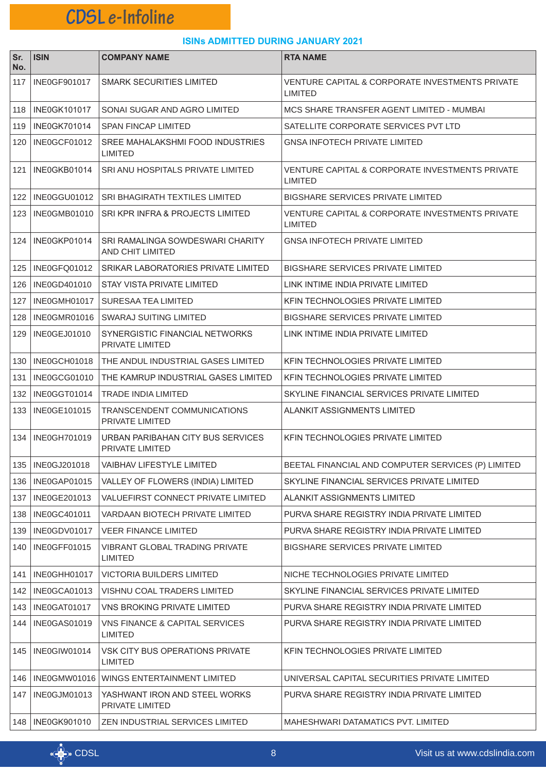| Sr.<br>No. | <b>ISIN</b>         | <b>COMPANY NAME</b>                                         | <b>RTA NAME</b>                                                       |
|------------|---------------------|-------------------------------------------------------------|-----------------------------------------------------------------------|
| 117        | <b>INE0GF901017</b> | <b>SMARK SECURITIES LIMITED</b>                             | VENTURE CAPITAL & CORPORATE INVESTMENTS PRIVATE<br>LIMITED            |
| 118        | <b>INE0GK101017</b> | SONAI SUGAR AND AGRO LIMITED                                | MCS SHARE TRANSFER AGENT LIMITED - MUMBAI                             |
| 119        | INE0GK701014        | <b>SPAN FINCAP LIMITED</b>                                  | SATELLITE CORPORATE SERVICES PVT LTD                                  |
| 120        | INE0GCF01012        | SREE MAHALAKSHMI FOOD INDUSTRIES<br><b>LIMITED</b>          | <b>GNSA INFOTECH PRIVATE LIMITED</b>                                  |
| 121 l      | INE0GKB01014        | SRI ANU HOSPITALS PRIVATE LIMITED                           | VENTURE CAPITAL & CORPORATE INVESTMENTS PRIVATE<br>LIMITED            |
|            | 122   INE0GGU01012  | SRI BHAGIRATH TEXTILES LIMITED                              | <b>BIGSHARE SERVICES PRIVATE LIMITED</b>                              |
| 123        | INE0GMB01010        | SRI KPR INFRA & PROJECTS LIMITED                            | <b>VENTURE CAPITAL &amp; CORPORATE INVESTMENTS PRIVATE</b><br>LIMITED |
|            | 124 INE0GKP01014    | SRI RAMALINGA SOWDESWARI CHARITY<br><b>AND CHIT LIMITED</b> | GNSA INFOTECH PRIVATE LIMITED                                         |
| 125 l      | INE0GFQ01012        | SRIKAR LABORATORIES PRIVATE LIMITED                         | <b>BIGSHARE SERVICES PRIVATE LIMITED</b>                              |
| 126        | INE0GD401010        | STAY VISTA PRIVATE LIMITED                                  | LINK INTIME INDIA PRIVATE LIMITED                                     |
| 127        | INE0GMH01017        | SURESAA TEA LIMITED                                         | KFIN TECHNOLOGIES PRIVATE LIMITED                                     |
| 128        | INE0GMR01016        | SWARAJ SUITING LIMITED                                      | <b>BIGSHARE SERVICES PRIVATE LIMITED</b>                              |
| 129        | <b>INE0GEJ01010</b> | SYNERGISTIC FINANCIAL NETWORKS<br>PRIVATE LIMITED           | LINK INTIME INDIA PRIVATE LIMITED                                     |
|            | 130   INE0GCH01018  | THE ANDUL INDUSTRIAL GASES LIMITED                          | KFIN TECHNOLOGIES PRIVATE LIMITED                                     |
| 131        | INE0GCG01010        | THE KAMRUP INDUSTRIAL GASES LIMITED                         | KFIN TECHNOLOGIES PRIVATE LIMITED                                     |
| 132        | INE0GGT01014        | TRADE INDIA LIMITED                                         | SKYLINE FINANCIAL SERVICES PRIVATE LIMITED                            |
| 133        | INE0GE101015        | <b>TRANSCENDENT COMMUNICATIONS</b><br>PRIVATE LIMITED       | ALANKIT ASSIGNMENTS LIMITED                                           |
|            | 134 INE0GH701019    | URBAN PARIBAHAN CITY BUS SERVICES<br>PRIVATE LIMITED        | KFIN TECHNOLOGIES PRIVATE LIMITED                                     |
|            | 135   INE0GJ201018  | VAIBHAV LIFESTYLE LIMITED                                   | BEETAL FINANCIAL AND COMPUTER SERVICES (P) LIMITED                    |
|            | 136   INE0GAP01015  | VALLEY OF FLOWERS (INDIA) LIMITED                           | SKYLINE FINANCIAL SERVICES PRIVATE LIMITED                            |
| 137        | INE0GE201013        | VALUEFIRST CONNECT PRIVATE LIMITED                          | ALANKIT ASSIGNMENTS LIMITED                                           |
| 138        | INE0GC401011        | VARDAAN BIOTECH PRIVATE LIMITED                             | PURVA SHARE REGISTRY INDIA PRIVATE LIMITED                            |
| 139        | INE0GDV01017        | <b>VEER FINANCE LIMITED</b>                                 | PURVA SHARE REGISTRY INDIA PRIVATE LIMITED                            |
| 140        | INE0GFF01015        | VIBRANT GLOBAL TRADING PRIVATE<br><b>LIMITED</b>            | <b>BIGSHARE SERVICES PRIVATE LIMITED</b>                              |
|            | 141   INE0GHH01017  | VICTORIA BUILDERS LIMITED                                   | NICHE TECHNOLOGIES PRIVATE LIMITED                                    |
| 142        | INE0GCA01013        | VISHNU COAL TRADERS LIMITED                                 | SKYLINE FINANCIAL SERVICES PRIVATE LIMITED                            |
| 143        | INE0GAT01017        | VNS BROKING PRIVATE LIMITED                                 | PURVA SHARE REGISTRY INDIA PRIVATE LIMITED                            |
| 144        | INE0GAS01019        | VNS FINANCE & CAPITAL SERVICES<br><b>LIMITED</b>            | PURVA SHARE REGISTRY INDIA PRIVATE LIMITED                            |
| 145        | INE0GIW01014        | VSK CITY BUS OPERATIONS PRIVATE<br><b>LIMITED</b>           | KFIN TECHNOLOGIES PRIVATE LIMITED                                     |
| 146        | INE0GMW01016        | WINGS ENTERTAINMENT LIMITED                                 | UNIVERSAL CAPITAL SECURITIES PRIVATE LIMITED                          |
| 147        | INE0GJM01013        | YASHWANT IRON AND STEEL WORKS<br>PRIVATE LIMITED            | PURVA SHARE REGISTRY INDIA PRIVATE LIMITED                            |
|            | 148   INE0GK901010  | ZEN INDUSTRIAL SERVICES LIMITED                             | MAHESHWARI DATAMATICS PVT. LIMITED                                    |